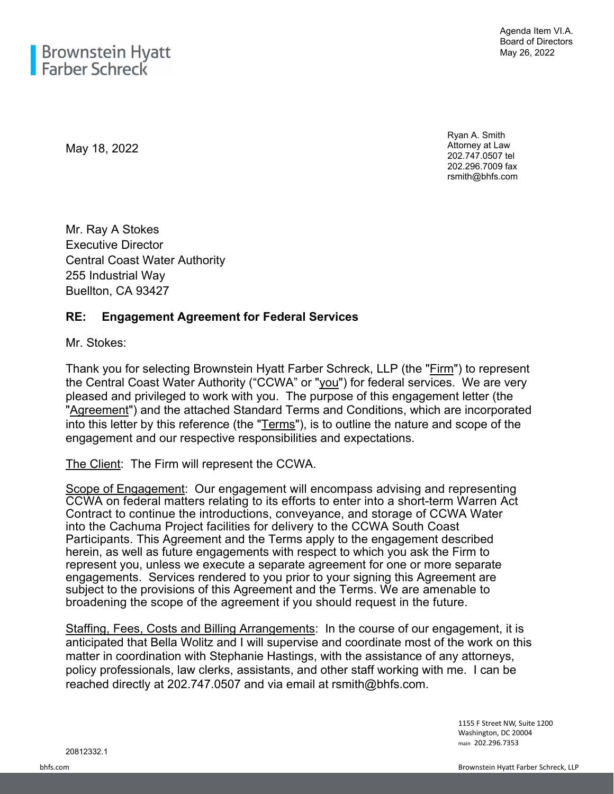May 18, 2022

Ryan A. Smith Attorney at Law 202.747.0507 tel 202.296.7009 fax rsmith@bhfs.com

Mr. Ray A Stokes Executive Director Central Coast Water Authority 255 Industrial Way Buellton, CA 93427

## **RE: Engagement Agreement for Federal Services**

Mr. Stokes:

Thank you for selecting Brownstein Hyatt Farber Schreck, LLP (the "Firm") to represent the Central Coast Water Authority ("CCWA" or "you") for federal services. We are very pleased and privileged to work with you. The purpose of this engagement letter (the "Agreement") and the attached Standard Terms and Conditions, which are incorporated into this letter by this reference (the "Terms"), is to outline the nature and scope of the engagement and our respective responsibilities and expectations.

The Client: The Firm will represent the CCWA.

Scope of Engagement: Our engagement will encompass advising and representing CCWA on federal matters relating to its efforts to enter into a short-term Warren Act Contract to continue the introductions, conveyance, and storage of CCWA Water into the Cachuma Project facilities for delivery to the CCWA South Coast Participants. This Agreement and the Terms apply to the engagement described herein, as well as future engagements with respect to which you ask the Firm to represent you, unless we execute a separate agreement for one or more separate engagements. Services rendered to you prior to your signing this Agreement are subject to the provisions of this Agreement and the Terms. We are amenable to broadening the scope of the agreement if you should request in the future.

Staffing, Fees, Costs and Billing Arrangements: In the course of our engagement, it is anticipated that Bella Wolitz and I will supervise and coordinate most of the work on this matter in coordination with Stephanie Hastings, with the assistance of any attorneys, policy professionals, law clerks, assistants, and other staff working with me. I can be reached directly at 202.747.0507 and via email at rsmith@bhfs.com.

> 1155 F Street NW, Suite 1200 Washington, DC 20004 main 202.296.7353

20812332.1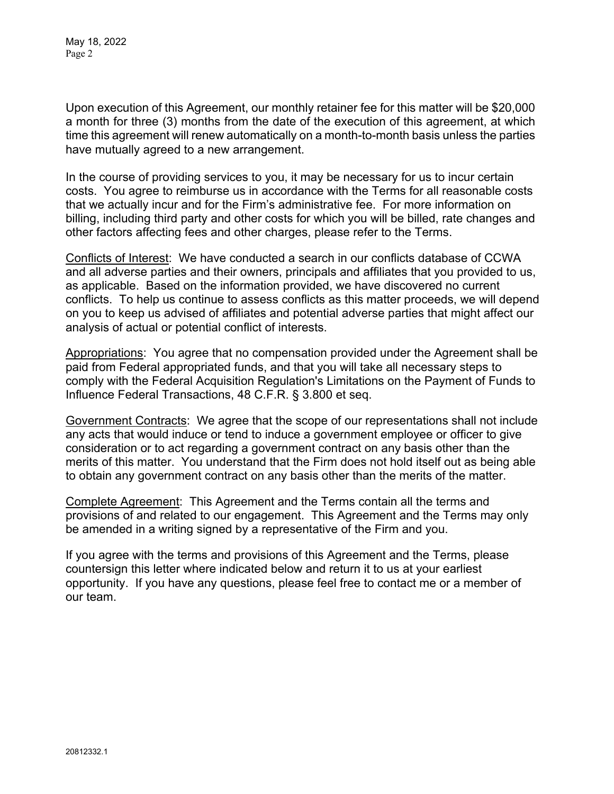May 18, 2022 Page 2

Upon execution of this Agreement, our monthly retainer fee for this matter will be \$20,000 a month for three (3) months from the date of the execution of this agreement, at which time this agreement will renew automatically on a month-to-month basis unless the parties have mutually agreed to a new arrangement.

In the course of providing services to you, it may be necessary for us to incur certain costs. You agree to reimburse us in accordance with the Terms for all reasonable costs that we actually incur and for the Firm's administrative fee. For more information on billing, including third party and other costs for which you will be billed, rate changes and other factors affecting fees and other charges, please refer to the Terms.

Conflicts of Interest: We have conducted a search in our conflicts database of CCWA and all adverse parties and their owners, principals and affiliates that you provided to us, as applicable. Based on the information provided, we have discovered no current conflicts. To help us continue to assess conflicts as this matter proceeds, we will depend on you to keep us advised of affiliates and potential adverse parties that might affect our analysis of actual or potential conflict of interests.

Appropriations: You agree that no compensation provided under the Agreement shall be paid from Federal appropriated funds, and that you will take all necessary steps to comply with the Federal Acquisition Regulation's Limitations on the Payment of Funds to Influence Federal Transactions, 48 C.F.R. § 3.800 et seq.

Government Contracts: We agree that the scope of our representations shall not include any acts that would induce or tend to induce a government employee or officer to give consideration or to act regarding a government contract on any basis other than the merits of this matter. You understand that the Firm does not hold itself out as being able to obtain any government contract on any basis other than the merits of the matter.

Complete Agreement: This Agreement and the Terms contain all the terms and provisions of and related to our engagement. This Agreement and the Terms may only be amended in a writing signed by a representative of the Firm and you.

If you agree with the terms and provisions of this Agreement and the Terms, please countersign this letter where indicated below and return it to us at your earliest opportunity. If you have any questions, please feel free to contact me or a member of our team.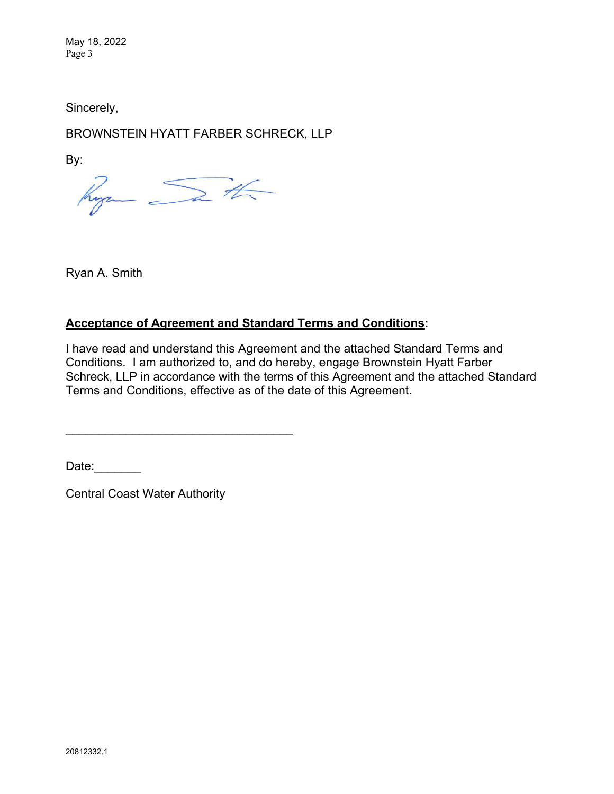May 18, 2022 Page 3

Sincerely,

BROWNSTEIN HYATT FARBER SCHRECK, LLP

By:

hyan Sath

Ryan A. Smith

## **Acceptance of Agreement and Standard Terms and Conditions:**

I have read and understand this Agreement and the attached Standard Terms and Conditions. I am authorized to, and do hereby, engage Brownstein Hyatt Farber Schreck, LLP in accordance with the terms of this Agreement and the attached Standard Terms and Conditions, effective as of the date of this Agreement.

Date:

Central Coast Water Authority

\_\_\_\_\_\_\_\_\_\_\_\_\_\_\_\_\_\_\_\_\_\_\_\_\_\_\_\_\_\_\_\_\_\_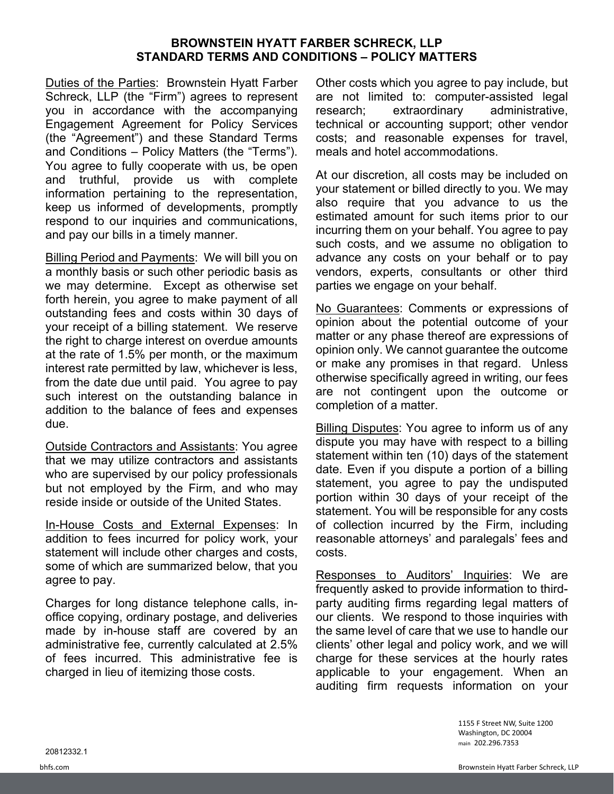## **BROWNSTEIN HYATT FARBER SCHRECK, LLP STANDARD TERMS AND CONDITIONS – POLICY MATTERS**

Duties of the Parties: Brownstein Hyatt Farber Schreck, LLP (the "Firm") agrees to represent you in accordance with the accompanying Engagement Agreement for Policy Services (the "Agreement") and these Standard Terms and Conditions – Policy Matters (the "Terms"). You agree to fully cooperate with us, be open and truthful, provide us with complete information pertaining to the representation, keep us informed of developments, promptly respond to our inquiries and communications, and pay our bills in a timely manner.

Billing Period and Payments: We will bill you on a monthly basis or such other periodic basis as we may determine. Except as otherwise set forth herein, you agree to make payment of all outstanding fees and costs within 30 days of your receipt of a billing statement. We reserve the right to charge interest on overdue amounts at the rate of 1.5% per month, or the maximum interest rate permitted by law, whichever is less, from the date due until paid. You agree to pay such interest on the outstanding balance in addition to the balance of fees and expenses due.

Outside Contractors and Assistants: You agree that we may utilize contractors and assistants who are supervised by our policy professionals but not employed by the Firm, and who may reside inside or outside of the United States.

In-House Costs and External Expenses: In addition to fees incurred for policy work, your statement will include other charges and costs, some of which are summarized below, that you agree to pay.

Charges for long distance telephone calls, inoffice copying, ordinary postage, and deliveries made by in-house staff are covered by an administrative fee, currently calculated at 2.5% of fees incurred. This administrative fee is charged in lieu of itemizing those costs.

Other costs which you agree to pay include, but are not limited to: computer-assisted legal research; extraordinary administrative, technical or accounting support; other vendor costs; and reasonable expenses for travel, meals and hotel accommodations.

At our discretion, all costs may be included on your statement or billed directly to you. We may also require that you advance to us the estimated amount for such items prior to our incurring them on your behalf. You agree to pay such costs, and we assume no obligation to advance any costs on your behalf or to pay vendors, experts, consultants or other third parties we engage on your behalf.

No Guarantees: Comments or expressions of opinion about the potential outcome of your matter or any phase thereof are expressions of opinion only. We cannot guarantee the outcome or make any promises in that regard. Unless otherwise specifically agreed in writing, our fees are not contingent upon the outcome or completion of a matter.

Billing Disputes: You agree to inform us of any dispute you may have with respect to a billing statement within ten (10) days of the statement date. Even if you dispute a portion of a billing statement, you agree to pay the undisputed portion within 30 days of your receipt of the statement. You will be responsible for any costs of collection incurred by the Firm, including reasonable attorneys' and paralegals' fees and costs.

Responses to Auditors' Inquiries: We are frequently asked to provide information to thirdparty auditing firms regarding legal matters of our clients. We respond to those inquiries with the same level of care that we use to handle our clients' other legal and policy work, and we will charge for these services at the hourly rates applicable to your engagement. When an auditing firm requests information on your

> 1155 F Street NW, Suite 1200 Washington, DC 20004 main 202.296.7353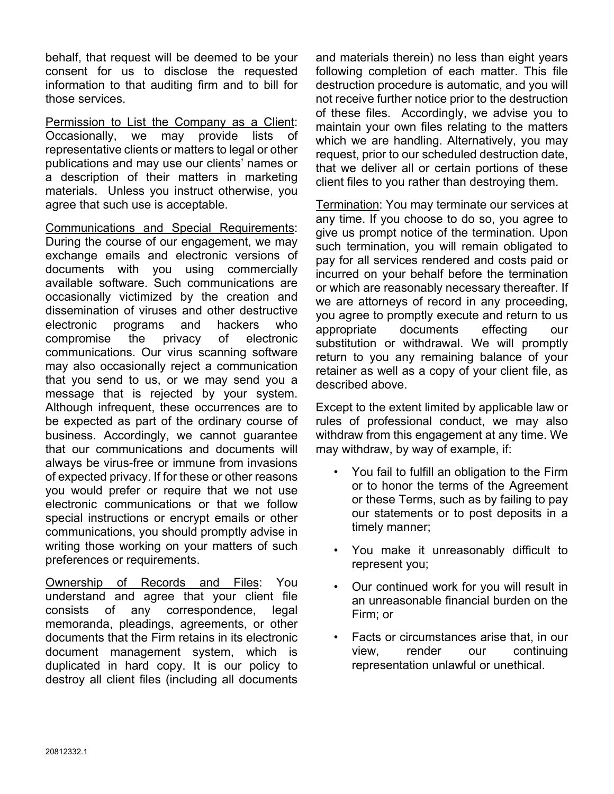behalf, that request will be deemed to be your consent for us to disclose the requested information to that auditing firm and to bill for those services.

Permission to List the Company as a Client: Occasionally, we may provide lists of representative clients or matters to legal or other publications and may use our clients' names or a description of their matters in marketing materials. Unless you instruct otherwise, you agree that such use is acceptable.

Communications and Special Requirements: During the course of our engagement, we may exchange emails and electronic versions of documents with you using commercially available software. Such communications are occasionally victimized by the creation and dissemination of viruses and other destructive electronic programs and hackers who compromise the privacy of electronic communications. Our virus scanning software may also occasionally reject a communication that you send to us, or we may send you a message that is rejected by your system. Although infrequent, these occurrences are to be expected as part of the ordinary course of business. Accordingly, we cannot guarantee that our communications and documents will always be virus-free or immune from invasions of expected privacy. If for these or other reasons you would prefer or require that we not use electronic communications or that we follow special instructions or encrypt emails or other communications, you should promptly advise in writing those working on your matters of such preferences or requirements.

Ownership of Records and Files: You understand and agree that your client file consists of any correspondence, legal memoranda, pleadings, agreements, or other documents that the Firm retains in its electronic document management system, which is duplicated in hard copy. It is our policy to destroy all client files (including all documents

and materials therein) no less than eight years following completion of each matter. This file destruction procedure is automatic, and you will not receive further notice prior to the destruction of these files. Accordingly, we advise you to maintain your own files relating to the matters which we are handling. Alternatively, you may request, prior to our scheduled destruction date, that we deliver all or certain portions of these client files to you rather than destroying them.

Termination: You may terminate our services at any time. If you choose to do so, you agree to give us prompt notice of the termination. Upon such termination, you will remain obligated to pay for all services rendered and costs paid or incurred on your behalf before the termination or which are reasonably necessary thereafter. If we are attorneys of record in any proceeding, you agree to promptly execute and return to us appropriate documents effecting our substitution or withdrawal. We will promptly return to you any remaining balance of your retainer as well as a copy of your client file, as described above.

Except to the extent limited by applicable law or rules of professional conduct, we may also withdraw from this engagement at any time. We may withdraw, by way of example, if:

- You fail to fulfill an obligation to the Firm or to honor the terms of the Agreement or these Terms, such as by failing to pay our statements or to post deposits in a timely manner;
- You make it unreasonably difficult to represent you;
- Our continued work for you will result in an unreasonable financial burden on the Firm; or
- Facts or circumstances arise that, in our view, render our continuing representation unlawful or unethical.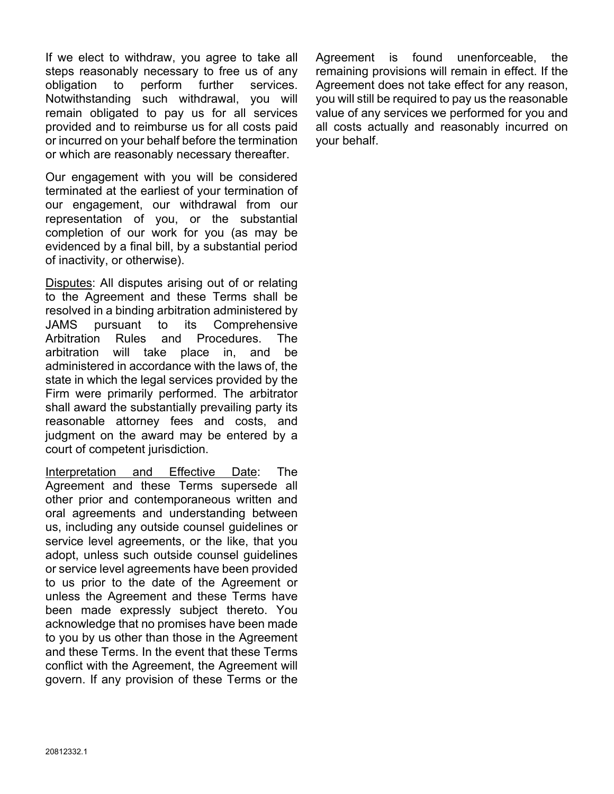If we elect to withdraw, you agree to take all steps reasonably necessary to free us of any obligation to perform further services. Notwithstanding such withdrawal, you will remain obligated to pay us for all services provided and to reimburse us for all costs paid or incurred on your behalf before the termination or which are reasonably necessary thereafter.

Our engagement with you will be considered terminated at the earliest of your termination of our engagement, our withdrawal from our representation of you, or the substantial completion of our work for you (as may be evidenced by a final bill, by a substantial period of inactivity, or otherwise).

Disputes: All disputes arising out of or relating to the Agreement and these Terms shall be resolved in a binding arbitration administered by JAMS pursuant to its Comprehensive Arbitration Rules and Procedures. The arbitration will take place in, and be administered in accordance with the laws of, the state in which the legal services provided by the Firm were primarily performed. The arbitrator shall award the substantially prevailing party its reasonable attorney fees and costs, and judgment on the award may be entered by a court of competent jurisdiction.

Interpretation and Effective Date: The Agreement and these Terms supersede all other prior and contemporaneous written and oral agreements and understanding between us, including any outside counsel guidelines or service level agreements, or the like, that you adopt, unless such outside counsel guidelines or service level agreements have been provided to us prior to the date of the Agreement or unless the Agreement and these Terms have been made expressly subject thereto. You acknowledge that no promises have been made to you by us other than those in the Agreement and these Terms. In the event that these Terms conflict with the Agreement, the Agreement will govern. If any provision of these Terms or the

Agreement is found unenforceable, the remaining provisions will remain in effect. If the Agreement does not take effect for any reason, you will still be required to pay us the reasonable value of any services we performed for you and all costs actually and reasonably incurred on your behalf.